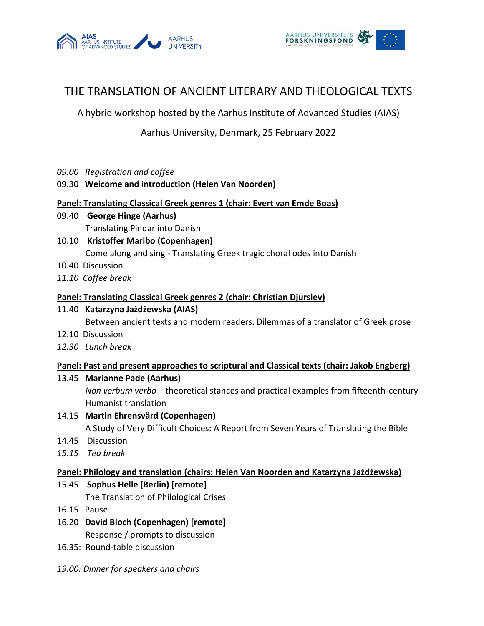



# THE TRANSLATION OF ANCIENT LITERARY AND THEOLOGICAL TEXTS

A hybrid workshop hosted by the Aarhus Institute of Advanced Studies (AIAS)

# Aarhus University, Denmark, 25 February 2022

*09.00 Registration and coffee*

# 09.30 **Welcome and introduction (Helen Van Noorden)**

#### **Panel: Translating Classical Greek genres 1 (chair: Evert van Emde Boas)**

- 09.40 **George Hinge (Aarhus)** Translating Pindar into Danish
- 10.10 **Kristoffer Maribo (Copenhagen)** Come along and sing - Translating Greek tragic choral odes into Danish
- 10.40 Discussion
- *11.10 Coffee break*

# **Panel: Translating Classical Greek genres 2 (chair: Christian Djurslev)**

# 11.40 **Katarzyna [Jażdżewska](https://scholar.google.com/citations?user=aqsHxeUAAAAJ&hl=en) (AIAS)**

Between ancient texts and modern readers. Dilemmas of a translator of Greek prose

- 12.10 Discussion
- *12.30 Lunch break*

# **Panel: Past and present approaches to scriptural and Classical texts (chair: Jakob Engberg)**

# 13.45 **Marianne Pade (Aarhus)**

*Non verbum verbo –* theoretical stances and practical examples from fifteenth-century Humanist translation

14.15 **Martin Ehrensvärd (Copenhagen)**

A Study of Very Difficult Choices: A Report from Seven Years of Translating the Bible

- 14.45 Discussion
- *15.15 Tea break*

# **Panel: Philology and translation (chairs: Helen Van Noorden and Katarzyna Jażdżewska)**

# 15.45 **Sophus Helle (Berlin) [remote]**

The Translation of Philological Crises

- 16.15 Pause
- 16.20 **David Bloch (Copenhagen) [remote]** Response / prompts to discussion
- 16.35: Round-table discussion
- *19.00: Dinner for speakers and chairs*